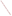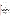# **ETV VERIFICATION STATEMENT**

## **Cone Penetrometer-Deployed Sensors: Rapid Optical Screening Tool**

| Technology Type: | Cone Penetrometer-Deployed Sensor           |
|------------------|---------------------------------------------|
| Application:     | In-Situ Detection Of Petroleum Hydrocarbons |
| Technology Name: | Rapid Optical Screening Tool                |
| Company:         | Fugro Geosciences, Inc.                     |
| Address:         | 6105 Rookin<br>Houston, Texas 77074         |
| Phone:           | 713-778-5580                                |

The U. S. Environmental Protection Agency (EPA) has created a program to facilitate the deployment of innovative technologies through performance verification and information dissemination. The goal of the Environmental Technology Verification (ETV) Program is to further environmental protection by substantially accelerating the acceptance of improved and more cost effective technologies. The ETV Program is intended to assist and inform those involved in the design, distribution, permitting, and purchase of environmental technologies. This document summarizes the results of a demonstration of a cone penetrometer-deployed Rapid Optical Screening Tool (ROSTTM) marketed by Fugro Geosciences, Inc.

## PROGRAM OPERATION

The EPA, in partnership with recognized testing organizations, objectively and systematically evaluates the performance of innovative technologies. Together, with the full participation of the technology developer, they develop plans, conduct tests, collect and analyze data, and report findings. The evaluations are conducted according to a rigorous demonstration plan and established protocols. EPA's National Exposure Research Laboratory, which conducts demonstrations of field characterization and monitoring technologies, selected the U. S. Department of Energy's Sandia National Laboratories as a testing organization

### DEMONSTRATION DESCRIPTION

In May and October 1995, two cone penetrometer-deployed sensor systems were demonstrated to evaluate how well they could measure subsurface petroleum hydrocarbon contamination. The performance of each system was evaluated by comparing field analysis results to those obtained using conventional sampling and analytical methods. These methods included using a hollow stem auger in conjunction with a split spoon sampler and subsequent analysis of the collected sample by a reference laboratory using EPA Method 418.1 for total petroleum hydrocarbons (TPH). The primary objectives of the demonstration were to (1) verify technology performance, (2) determine how well the developer's field instrument performs in comparison to conventional laboratory methods, (3) determine the logistical and economic resources needed to operate the instrument, and (4) produce a verified data set for use in considering the technology for future use in hazardous waste investigations. Field demonstrations were conducted at two geologically and climatologically different sites: (1) the Hydrocarbon National Test Site located at Naval Construction Battalion Center (NCBC) Port Hueneme, California, and (2) the Steam Plant Tank Farm at Sandia National Laboratories (SNL), Albuquerque, New Mexico. The conditions at each of these sites represent what are considered typical under which the technology would be expected to operate, but are not considered all inclusive. Details of the demonstration, including a data summary and a discussion of results may be found in the report entitled "The Rapid Optical Screening Tool (ROSTTM) Laser Induced Fluorescence System for Screening Petroleum Hydrocarbons in Subsurface Soil." The EPA document number for this report is EPA/600/R-97/020.